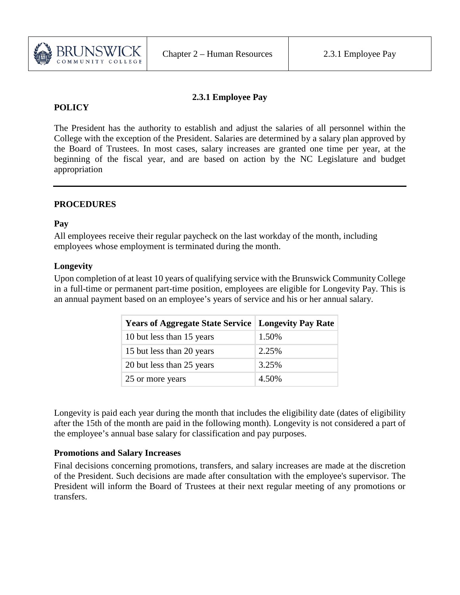

## **2.3.1 Employee Pay**

# **POLICY**

The President has the authority to establish and adjust the salaries of all personnel within the College with the exception of the President. Salaries are determined by a salary plan approved by the Board of Trustees. In most cases, salary increases are granted one time per year, at the beginning of the fiscal year, and are based on action by the NC Legislature and budget appropriation

# **PROCEDURES**

### **Pay**

All employees receive their regular paycheck on the last workday of the month, including employees whose employment is terminated during the month.

### **Longevity**

Upon completion of at least 10 years of qualifying service with the Brunswick Community College in a full-time or permanent part-time position, employees are eligible for Longevity Pay. This is an annual payment based on an employee's years of service and his or her annual salary.

| <b>Years of Aggregate State Service   Longevity Pay Rate</b> |       |
|--------------------------------------------------------------|-------|
| 10 but less than 15 years                                    | 1.50% |
| 15 but less than 20 years                                    | 2.25% |
| 20 but less than 25 years                                    | 3.25% |
| 25 or more years                                             | 4.50% |

Longevity is paid each year during the month that includes the eligibility date (dates of eligibility after the 15th of the month are paid in the following month). Longevity is not considered a part of the employee's annual base salary for classification and pay purposes.

#### **Promotions and Salary Increases**

Final decisions concerning promotions, transfers, and salary increases are made at the discretion of the President. Such decisions are made after consultation with the employee's supervisor. The President will inform the Board of Trustees at their next regular meeting of any promotions or transfers.